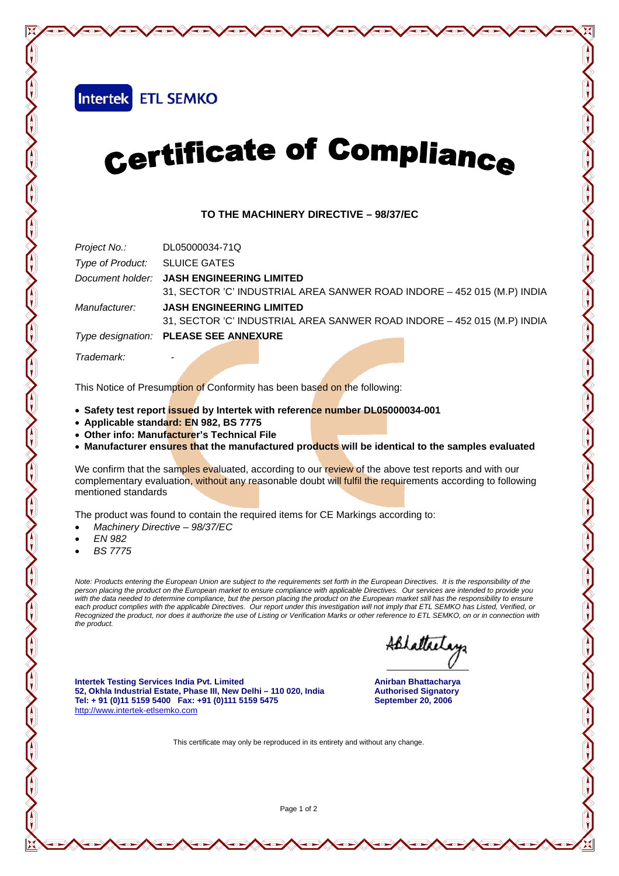Intertek ETL SEMKO

## Certificate of Compliance

## **TO THE MACHINERY DIRECTIVE – 98/37/EC**

|                               | Project No.: DL05000034-71Q                                             |  |  |  |  |
|-------------------------------|-------------------------------------------------------------------------|--|--|--|--|
| Type of Product: SLUICE GATES |                                                                         |  |  |  |  |
|                               | Document holder: JASH ENGINEERING LIMITED                               |  |  |  |  |
|                               | 31, SECTOR 'C' INDUSTRIAL AREA SANWER ROAD INDORE - 452 015 (M.P) INDIA |  |  |  |  |
| Manufacturer:                 | <b>JASH ENGINEERING LIMITED</b>                                         |  |  |  |  |
|                               | 31, SECTOR 'C' INDUSTRIAL AREA SANWER ROAD INDORE - 452 015 (M.P) INDIA |  |  |  |  |
|                               | Type designation: PLEASE SEE ANNEXURE                                   |  |  |  |  |
|                               |                                                                         |  |  |  |  |

*Trademark:* -

This Notice of Presumption of Conformity has been based on the following:

- **Safety test report issued by Intertek with reference number DL05000034-001**
- **Applicable standard: EN 982, BS 7775**
- **Other info: Manufacturer's Technical File**
- **Manufacturer ensures that the manufactured products will be identical to the samples evaluated**

We confirm that the samples evaluated, according to our review of the above test reports and with our complementary evaluation, without any reasonable doubt will fulfil the requirements according to following mentioned standards

The product was found to contain the required items for CE Markings according to:

- *Machinery Directive 98/37/EC*
- *EN 982*
- *BS 7775*

*Note: Products entering the European Union are subject to the requirements set forth in the European Directives. It is the responsibility of the person placing the product on the European market to ensure compliance with applicable Directives. Our services are intended to provide you*  with the data needed to determine compliance, but the person placing the product on the European market still has the responsibility to ensure each product complies with the applicable Directives. Our report under this investigation will not imply that ETL SEMKO has Listed, Verified, or *Recognized the product, nor does it authorize the use of Listing or Verification Marks or other reference to ETL SEMKO, on or in connection with the product.*

ABLattactory

**News Actyle Mey Red Mey** 

**Intertek Testing Services India Pvt. Limited Anirban Bhattacharya** *Anirban Bhattacharya* 52, Okhla Industrial Estate, Phase III, New Delhi - 110 020, India **Authorised Signatory Tel: + 91 (0)11 5159 5400 Fax: +91 (0)111 5159 5475 September 20, 2006**  http://www.intertek-etlsemko.com

This certificate may only be reproduced in its entirety and without any change.

Page 1 of 2